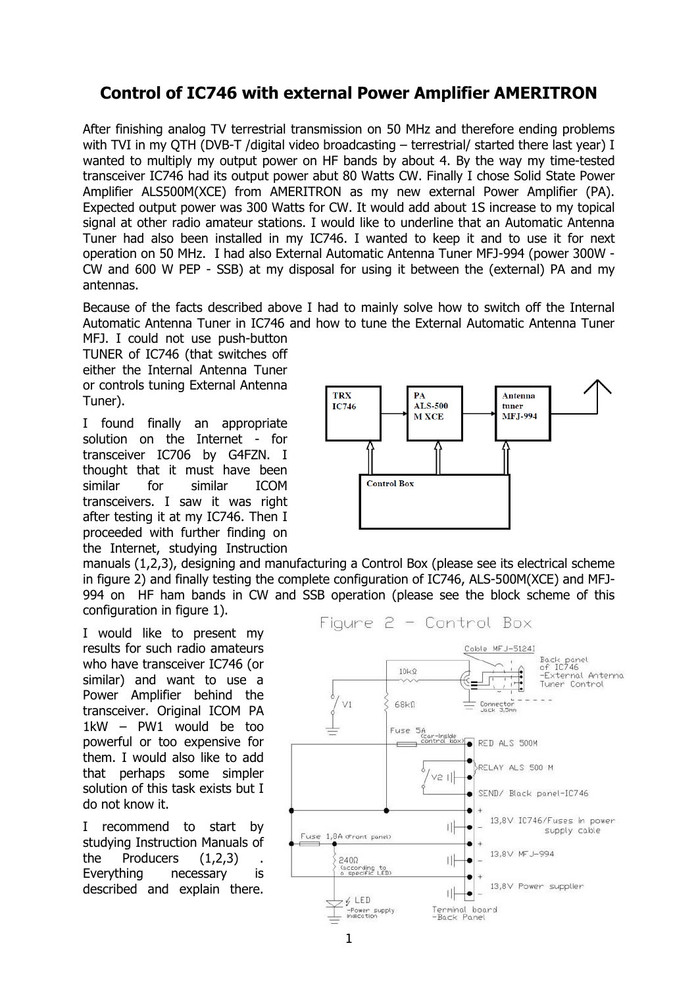## **Control of IC746 with external Power Amplifier AMERITRON**

After finishing analog TV terrestrial transmission on 50 MHz and therefore ending problems with TVI in my QTH (DVB-T /digital video broadcasting – terrestrial/ started there last year) I wanted to multiply my output power on HF bands by about 4. By the way my time-tested transceiver IC746 had its output power abut 80 Watts CW. Finally I chose Solid State Power Amplifier ALS500M(XCE) from AMERITRON as my new external Power Amplifier (PA). Expected output power was 300 Watts for CW. It would add about 1S increase to my topical signal at other radio amateur stations. I would like to underline that an Automatic Antenna Tuner had also been installed in my IC746. I wanted to keep it and to use it for next operation on 50 MHz. I had also External Automatic Antenna Tuner MFJ-994 (power 300W - CW and 600 W PEP - SSB) at my disposal for using it between the (external) PA and my antennas.

Because of the facts described above I had to mainly solve how to switch off the Internal Automatic Antenna Tuner in IC746 and how to tune the External Automatic Antenna Tuner

MFJ. I could not use push-button TUNER of IC746 (that switches off either the Internal Antenna Tuner or controls tuning External Antenna Tuner).

I found finally an appropriate solution on the Internet - for transceiver IC706 by G4FZN. I thought that it must have been similar for similar ICOM transceivers. I saw it was right after testing it at my IC746. Then I proceeded with further finding on the Internet, studying Instruction



manuals (1,2,3), designing and manufacturing a Control Box (please see its electrical scheme in figure 2) and finally testing the complete configuration of IC746, ALS-500M(XCE) and MFJ-994 on HF ham bands in CW and SSB operation (please see the block scheme of this configuration in figure 1).

I would like to present my results for such radio amateurs who have transceiver IC746 (or similar) and want to use a Power Amplifier behind the transceiver. Original ICOM PA 1kW – PW1 would be too powerful or too expensive for them. I would also like to add that perhaps some simpler solution of this task exists but I do not know it.

I recommend to start by studying Instruction Manuals of the Producers  $(1,2,3)$ Everything necessary is described and explain there.

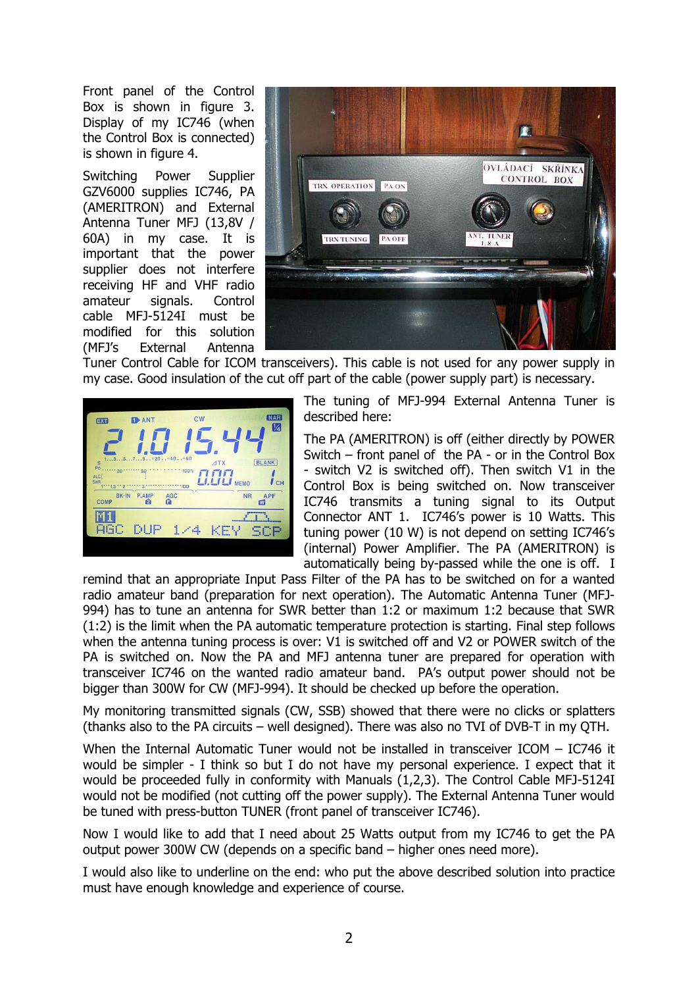Front panel of the Control Box is shown in figure 3. Display of my IC746 (when the Control Box is connected) is shown in figure 4.

Switching Power Supplier GZV6000 supplies IC746, PA (AMERITRON) and External Antenna Tuner MFJ (13,8V / 60A) in my case. It is important that the power supplier does not interfere receiving HF and VHF radio amateur signals. Control cable MFJ-5124I must be modified for this solution (MFJ's External Antenna



Tuner Control Cable for ICOM transceivers). This cable is not used for any power supply in my case. Good insulation of the cut off part of the cable (power supply part) is necessary.



The tuning of MFJ-994 External Antenna Tuner is described here:

The PA (AMERITRON) is off (either directly by POWER Switch – front panel of the PA - or in the Control Box - switch V2 is switched off). Then switch V1 in the Control Box is being switched on. Now transceiver IC746 transmits a tuning signal to its Output Connector ANT 1. IC746's power is 10 Watts. This tuning power (10 W) is not depend on setting IC746's (internal) Power Amplifier. The PA (AMERITRON) is automatically being by-passed while the one is off. I

remind that an appropriate Input Pass Filter of the PA has to be switched on for a wanted radio amateur band (preparation for next operation). The Automatic Antenna Tuner (MFJ-994) has to tune an antenna for SWR better than 1:2 or maximum 1:2 because that SWR (1:2) is the limit when the PA automatic temperature protection is starting. Final step follows when the antenna tuning process is over: V1 is switched off and V2 or POWER switch of the PA is switched on. Now the PA and MFJ antenna tuner are prepared for operation with transceiver IC746 on the wanted radio amateur band. PA's output power should not be bigger than 300W for CW (MFJ-994). It should be checked up before the operation.

My monitoring transmitted signals (CW, SSB) showed that there were no clicks or splatters (thanks also to the PA circuits – well designed). There was also no TVI of DVB-T in my QTH.

When the Internal Automatic Tuner would not be installed in transceiver ICOM - IC746 it would be simpler - I think so but I do not have my personal experience. I expect that it would be proceeded fully in conformity with Manuals (1,2,3). The Control Cable MFJ-5124I would not be modified (not cutting off the power supply). The External Antenna Tuner would be tuned with press-button TUNER (front panel of transceiver IC746).

Now I would like to add that I need about 25 Watts output from my IC746 to get the PA output power 300W CW (depends on a specific band – higher ones need more).

I would also like to underline on the end: who put the above described solution into practice must have enough knowledge and experience of course.